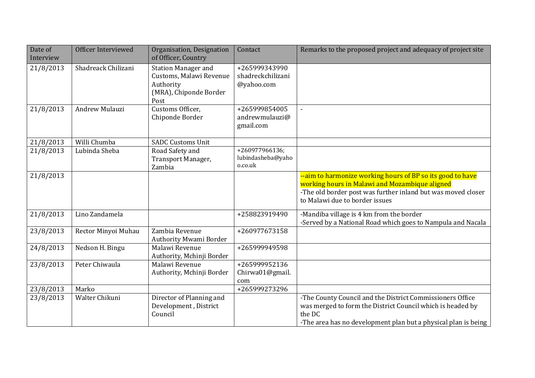| Date of<br>Interview | Officer Interviewed | Organisation, Designation<br>of Officer, Country                                                     | Contact                                          | Remarks to the proposed project and adequacy of project site                                                                                                                                                   |
|----------------------|---------------------|------------------------------------------------------------------------------------------------------|--------------------------------------------------|----------------------------------------------------------------------------------------------------------------------------------------------------------------------------------------------------------------|
| 21/8/2013            | Shadreack Chilizani | <b>Station Manager and</b><br>Customs, Malawi Revenue<br>Authority<br>(MRA), Chiponde Border<br>Post | +265999343990<br>shadreckchilizani<br>@yahoo.com |                                                                                                                                                                                                                |
| 21/8/2013            | Andrew Mulauzi      | Customs Officer,<br>Chiponde Border                                                                  | +265999854005<br>andrewmulauzi@<br>gmail.com     |                                                                                                                                                                                                                |
| 21/8/2013            | Willi Chumba        | <b>SADC Customs Unit</b>                                                                             |                                                  |                                                                                                                                                                                                                |
| 21/8/2013            | Lubinda Sheba       | Road Safety and<br>Transport Manager,<br>Zambia                                                      | +260977966136;<br>lubindasheba@yaho<br>o.co.uk   |                                                                                                                                                                                                                |
| 21/8/2013            |                     |                                                                                                      |                                                  | --aim to harmonize working hours of BP so its good to have<br>working hours in Malawi and Mozambique aligned<br>-The old border post was further inland but was moved closer<br>to Malawi due to border issues |
| 21/8/2013            | Lino Zandamela      |                                                                                                      | +258823919490                                    | -Mandiba village is 4 km from the border<br>-Served by a National Road which goes to Nampula and Nacala                                                                                                        |
| 23/8/2013            | Rector Minyoi Muhau | Zambia Revenue<br><b>Authority Mwami Border</b>                                                      | +260977673158                                    |                                                                                                                                                                                                                |
| 24/8/2013            | Nedson H. Bingu     | Malawi Revenue<br>Authority, Mchinji Border                                                          | +265999949598                                    |                                                                                                                                                                                                                |
| 23/8/2013            | Peter Chiwaula      | Malawi Revenue<br>Authority, Mchinji Border                                                          | +265999952136<br>Chirwa01@gmail.<br>com          |                                                                                                                                                                                                                |
| 23/8/2013            | Marko               |                                                                                                      | +265999273296                                    |                                                                                                                                                                                                                |
| 23/8/2013            | Walter Chikuni      | Director of Planning and<br>Development, District<br>Council                                         |                                                  | -The County Council and the District Commissioners Office<br>was merged to form the District Council which is headed by<br>the DC<br>-The area has no development plan but a physical plan is being            |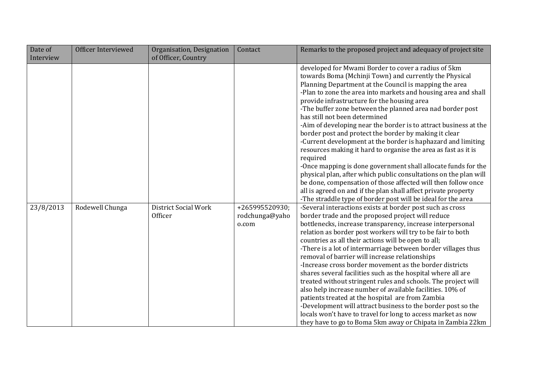| Date of   | Officer Interviewed | Organisation, Designation              | Contact                                   | Remarks to the proposed project and adequacy of project site                                                                                                                                                                                                                                                                                                                                                                                                                                                                                                                                                                                                                                                                                                                                                                                                                                                                                                                                              |
|-----------|---------------------|----------------------------------------|-------------------------------------------|-----------------------------------------------------------------------------------------------------------------------------------------------------------------------------------------------------------------------------------------------------------------------------------------------------------------------------------------------------------------------------------------------------------------------------------------------------------------------------------------------------------------------------------------------------------------------------------------------------------------------------------------------------------------------------------------------------------------------------------------------------------------------------------------------------------------------------------------------------------------------------------------------------------------------------------------------------------------------------------------------------------|
| Interview |                     | of Officer, Country                    |                                           |                                                                                                                                                                                                                                                                                                                                                                                                                                                                                                                                                                                                                                                                                                                                                                                                                                                                                                                                                                                                           |
|           |                     |                                        |                                           | developed for Mwami Border to cover a radius of 5km<br>towards Boma (Mchinji Town) and currently the Physical<br>Planning Department at the Council is mapping the area<br>-Plan to zone the area into markets and housing area and shall<br>provide infrastructure for the housing area<br>-The buffer zone between the planned area nad border post<br>has still not been determined<br>-Aim of developing near the border is to attract business at the<br>border post and protect the border by making it clear<br>-Current development at the border is haphazard and limiting<br>resources making it hard to organise the area as fast as it is<br>required<br>-Once mapping is done government shall allocate funds for the<br>physical plan, after which public consultations on the plan will<br>be done, compensation of those affected will then follow once<br>all is agreed on and if the plan shall affect private property<br>-The straddle type of border post will be ideal for the area |
| 23/8/2013 | Rodewell Chunga     | District Social Work<br><b>Officer</b> | +265995520930;<br>rodchunga@yaho<br>o.com | -Several interactions exists at border post such as cross<br>border trade and the proposed project will reduce<br>bottlenecks, increase transparency, increase interpersonal<br>relation as border post workers will try to be fair to both<br>countries as all their actions will be open to all;<br>-There is a lot of intermarriage between border villages thus<br>removal of barrier will increase relationships<br>-Increase cross border movement as the border districts<br>shares several facilities such as the hospital where all are<br>treated without stringent rules and schools. The project will<br>also help increase number of available facilities. 10% of<br>patients treated at the hospital are from Zambia<br>-Development will attract business to the border post so the<br>locals won't have to travel for long to access market as now<br>they have to go to Boma 5km away or Chipata in Zambia 22km                                                                          |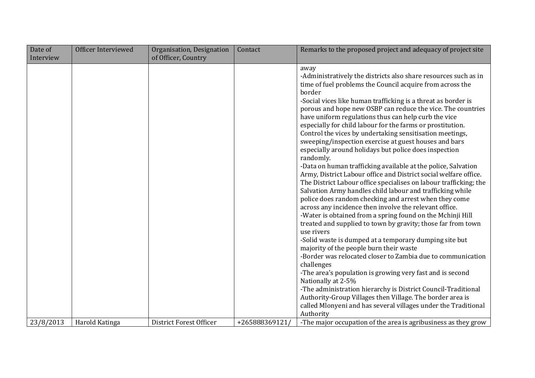| Date of   | Officer Interviewed | Organisation, Designation | Contact       | Remarks to the proposed project and adequacy of project site                                                                                                                                                                                                                                                                                                                                                                                                                                                                                                                                                                                                                                                                                                                                                                                                                                                                                                                                                                                                                                                                                                                                                                                                                                                                                                                         |
|-----------|---------------------|---------------------------|---------------|--------------------------------------------------------------------------------------------------------------------------------------------------------------------------------------------------------------------------------------------------------------------------------------------------------------------------------------------------------------------------------------------------------------------------------------------------------------------------------------------------------------------------------------------------------------------------------------------------------------------------------------------------------------------------------------------------------------------------------------------------------------------------------------------------------------------------------------------------------------------------------------------------------------------------------------------------------------------------------------------------------------------------------------------------------------------------------------------------------------------------------------------------------------------------------------------------------------------------------------------------------------------------------------------------------------------------------------------------------------------------------------|
| Interview |                     | of Officer, Country       |               |                                                                                                                                                                                                                                                                                                                                                                                                                                                                                                                                                                                                                                                                                                                                                                                                                                                                                                                                                                                                                                                                                                                                                                                                                                                                                                                                                                                      |
|           |                     |                           |               | away<br>-Administratively the districts also share resources such as in<br>time of fuel problems the Council acquire from across the<br>border<br>-Social vices like human trafficking is a threat as border is<br>porous and hope new OSBP can reduce the vice. The countries<br>have uniform regulations thus can help curb the vice<br>especially for child labour for the farms or prostitution.<br>Control the vices by undertaking sensitisation meetings,<br>sweeping/inspection exercise at guest houses and bars<br>especially around holidays but police does inspection<br>randomly.<br>-Data on human trafficking available at the police, Salvation<br>Army, District Labour office and District social welfare office.<br>The District Labour office specialises on labour trafficking; the<br>Salvation Army handles child labour and trafficking while<br>police does random checking and arrest when they come<br>across any incidence then involve the relevant office.<br>-Water is obtained from a spring found on the Mchinji Hill<br>treated and supplied to town by gravity; those far from town<br>use rivers<br>-Solid waste is dumped at a temporary dumping site but<br>majority of the people burn their waste<br>-Border was relocated closer to Zambia due to communication<br>challenges<br>-The area's population is growing very fast and is second |
|           |                     |                           |               | Nationally at 2-5%<br>-The administration hierarchy is District Council-Traditional                                                                                                                                                                                                                                                                                                                                                                                                                                                                                                                                                                                                                                                                                                                                                                                                                                                                                                                                                                                                                                                                                                                                                                                                                                                                                                  |
|           |                     |                           |               | Authority-Group Villages then Village. The border area is<br>called Mlonyeni and has several villages under the Traditional                                                                                                                                                                                                                                                                                                                                                                                                                                                                                                                                                                                                                                                                                                                                                                                                                                                                                                                                                                                                                                                                                                                                                                                                                                                          |
|           |                     |                           |               | Authority                                                                                                                                                                                                                                                                                                                                                                                                                                                                                                                                                                                                                                                                                                                                                                                                                                                                                                                                                                                                                                                                                                                                                                                                                                                                                                                                                                            |
| 23/8/2013 | Harold Katinga      | District Forest Officer   | +265888369121 | -The major occupation of the area is agribusiness as they grow                                                                                                                                                                                                                                                                                                                                                                                                                                                                                                                                                                                                                                                                                                                                                                                                                                                                                                                                                                                                                                                                                                                                                                                                                                                                                                                       |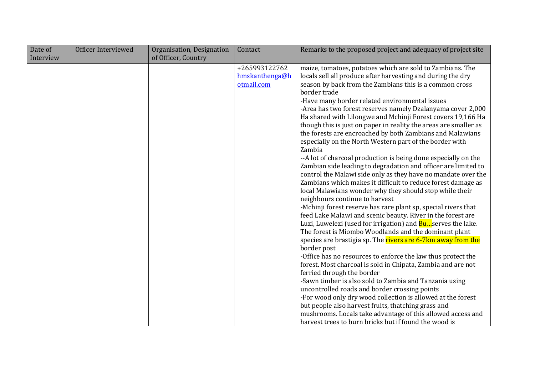| Date of   | Officer Interviewed | Organisation, Designation | Contact                                       | Remarks to the proposed project and adequacy of project site                                                                                                                                                                                                                                                                                                                                                                                                                                                                                                                                                                                                                                                                                                                                                                                                                                                                                                                                                                                                                                                                                                                                                                                                                                                                                                                                                                                                                                                                                                                                                                                                                                               |
|-----------|---------------------|---------------------------|-----------------------------------------------|------------------------------------------------------------------------------------------------------------------------------------------------------------------------------------------------------------------------------------------------------------------------------------------------------------------------------------------------------------------------------------------------------------------------------------------------------------------------------------------------------------------------------------------------------------------------------------------------------------------------------------------------------------------------------------------------------------------------------------------------------------------------------------------------------------------------------------------------------------------------------------------------------------------------------------------------------------------------------------------------------------------------------------------------------------------------------------------------------------------------------------------------------------------------------------------------------------------------------------------------------------------------------------------------------------------------------------------------------------------------------------------------------------------------------------------------------------------------------------------------------------------------------------------------------------------------------------------------------------------------------------------------------------------------------------------------------------|
|           |                     |                           |                                               |                                                                                                                                                                                                                                                                                                                                                                                                                                                                                                                                                                                                                                                                                                                                                                                                                                                                                                                                                                                                                                                                                                                                                                                                                                                                                                                                                                                                                                                                                                                                                                                                                                                                                                            |
| Interview |                     | of Officer, Country       | +265993122762<br>hmskanthenga@h<br>otmail.com | maize, tomatoes, potatoes which are sold to Zambians. The<br>locals sell all produce after harvesting and during the dry<br>season by back from the Zambians this is a common cross<br>border trade<br>-Have many border related environmental issues<br>-Area has two forest reserves namely Dzalanyama cover 2,000<br>Ha shared with Lilongwe and Mchinji Forest covers 19,166 Ha<br>though this is just on paper in reality the areas are smaller as<br>the forests are encroached by both Zambians and Malawians<br>especially on the North Western part of the border with<br>Zambia<br>--A lot of charcoal production is being done especially on the<br>Zambian side leading to degradation and officer are limited to<br>control the Malawi side only as they have no mandate over the<br>Zambians which makes it difficult to reduce forest damage as<br>local Malawians wonder why they should stop while their<br>neighbours continue to harvest<br>-Mchinji forest reserve has rare plant sp, special rivers that<br>feed Lake Malawi and scenic beauty. River in the forest are<br>Luzi, Luwelezi (used for irrigation) and <b>Bu</b> serves the lake.<br>The forest is Miombo Woodlands and the dominant plant<br>species are brastigia sp. The rivers are 6-7km away from the<br>border post<br>-Office has no resources to enforce the law thus protect the<br>forest. Most charcoal is sold in Chipata, Zambia and are not<br>ferried through the border<br>-Sawn timber is also sold to Zambia and Tanzania using<br>uncontrolled roads and border crossing points<br>-For wood only dry wood collection is allowed at the forest<br>but people also harvest fruits, thatching grass and |
|           |                     |                           |                                               | mushrooms. Locals take advantage of this allowed access and<br>harvest trees to burn bricks but if found the wood is                                                                                                                                                                                                                                                                                                                                                                                                                                                                                                                                                                                                                                                                                                                                                                                                                                                                                                                                                                                                                                                                                                                                                                                                                                                                                                                                                                                                                                                                                                                                                                                       |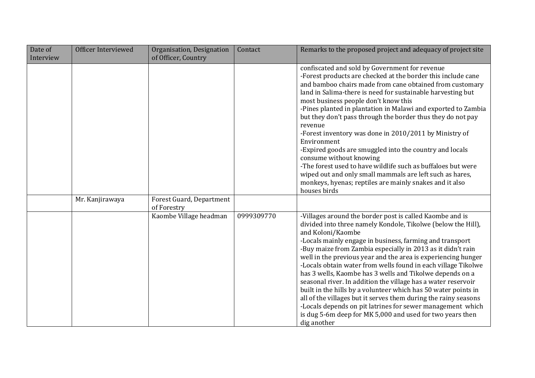| Date of<br>Interview | Officer Interviewed | Organisation, Designation<br>of Officer, Country | Contact    | Remarks to the proposed project and adequacy of project site                                                                                                                                                                                                                                                                                                                                                                                                                                                                                                                                                                                                                                                                                                                                                           |
|----------------------|---------------------|--------------------------------------------------|------------|------------------------------------------------------------------------------------------------------------------------------------------------------------------------------------------------------------------------------------------------------------------------------------------------------------------------------------------------------------------------------------------------------------------------------------------------------------------------------------------------------------------------------------------------------------------------------------------------------------------------------------------------------------------------------------------------------------------------------------------------------------------------------------------------------------------------|
|                      |                     |                                                  |            |                                                                                                                                                                                                                                                                                                                                                                                                                                                                                                                                                                                                                                                                                                                                                                                                                        |
|                      |                     |                                                  |            | confiscated and sold by Government for revenue<br>-Forest products are checked at the border this include cane<br>and bamboo chairs made from cane obtained from customary<br>land in Salima-there is need for sustainable harvesting but<br>most business people don't know this<br>-Pines planted in plantation in Malawi and exported to Zambia<br>but they don't pass through the border thus they do not pay<br>revenue<br>-Forest inventory was done in 2010/2011 by Ministry of<br>Environment<br>-Expired goods are smuggled into the country and locals<br>consume without knowing<br>-The forest used to have wildlife such as buffaloes but were<br>wiped out and only small mammals are left such as hares,<br>monkeys, hyenas; reptiles are mainly snakes and it also                                     |
|                      | Mr. Kanjirawaya     | Forest Guard, Department                         |            | houses birds                                                                                                                                                                                                                                                                                                                                                                                                                                                                                                                                                                                                                                                                                                                                                                                                           |
|                      |                     | of Forestry                                      |            |                                                                                                                                                                                                                                                                                                                                                                                                                                                                                                                                                                                                                                                                                                                                                                                                                        |
|                      |                     | Kaombe Village headman                           | 0999309770 | -Villages around the border post is called Kaombe and is<br>divided into three namely Kondole, Tikolwe (below the Hill),<br>and Koloni/Kaombe<br>-Locals mainly engage in business, farming and transport<br>-Buy maize from Zambia especially in 2013 as it didn't rain<br>well in the previous year and the area is experiencing hunger<br>-Locals obtain water from wells found in each village Tikolwe<br>has 3 wells, Kaombe has 3 wells and Tikolwe depends on a<br>seasonal river. In addition the village has a water reservoir<br>built in the hills by a volunteer which has 50 water points in<br>all of the villages but it serves them during the rainy seasons<br>-Locals depends on pit latrines for sewer management which<br>is dug 5-6m deep for MK 5,000 and used for two years then<br>dig another |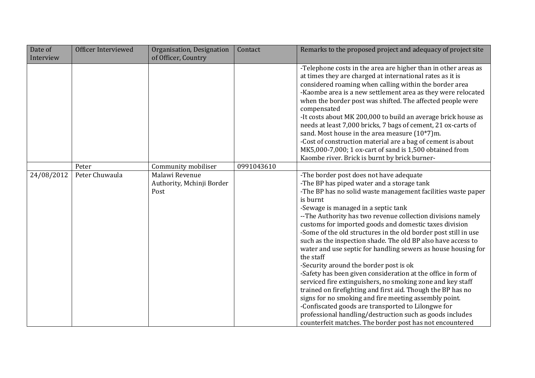| Date of    | Officer Interviewed | Organisation, Designation                           | Contact    | Remarks to the proposed project and adequacy of project site                                                                                                                                                                                                                                                                                                                                                                                                                                                                                                                                                                                                                                                                                                                                                                                                                                                                                                                                                                      |
|------------|---------------------|-----------------------------------------------------|------------|-----------------------------------------------------------------------------------------------------------------------------------------------------------------------------------------------------------------------------------------------------------------------------------------------------------------------------------------------------------------------------------------------------------------------------------------------------------------------------------------------------------------------------------------------------------------------------------------------------------------------------------------------------------------------------------------------------------------------------------------------------------------------------------------------------------------------------------------------------------------------------------------------------------------------------------------------------------------------------------------------------------------------------------|
| Interview  |                     | of Officer, Country                                 |            |                                                                                                                                                                                                                                                                                                                                                                                                                                                                                                                                                                                                                                                                                                                                                                                                                                                                                                                                                                                                                                   |
|            |                     |                                                     |            | -Telephone costs in the area are higher than in other areas as<br>at times they are charged at international rates as it is<br>considered roaming when calling within the border area<br>-Kaombe area is a new settlement area as they were relocated<br>when the border post was shifted. The affected people were<br>compensated<br>-It costs about MK 200,000 to build an average brick house as<br>needs at least 7,000 bricks, 7 bags of cement, 21 ox-carts of<br>sand. Most house in the area measure (10*7)m.<br>-Cost of construction material are a bag of cement is about<br>MK5,000-7,000; 1 ox-cart of sand is 1,500 obtained from<br>Kaombe river. Brick is burnt by brick burner-                                                                                                                                                                                                                                                                                                                                  |
|            | Peter               | Community mobiliser                                 | 0991043610 |                                                                                                                                                                                                                                                                                                                                                                                                                                                                                                                                                                                                                                                                                                                                                                                                                                                                                                                                                                                                                                   |
| 24/08/2012 | Peter Chuwaula      | Malawi Revenue<br>Authority, Mchinji Border<br>Post |            | -The border post does not have adequate<br>-The BP has piped water and a storage tank<br>-The BP has no solid waste management facilities waste paper<br>is burnt<br>-Sewage is managed in a septic tank<br>--The Authority has two revenue collection divisions namely<br>customs for imported goods and domestic taxes division<br>-Some of the old structures in the old border post still in use<br>such as the inspection shade. The old BP also have access to<br>water and use septic for handling sewers as house housing for<br>the staff<br>-Security around the border post is ok<br>-Safety has been given consideration at the office in form of<br>serviced fire extinguishers, no smoking zone and key staff<br>trained on firefighting and first aid. Though the BP has no<br>signs for no smoking and fire meeting assembly point.<br>-Confiscated goods are transported to Lilongwe for<br>professional handling/destruction such as goods includes<br>counterfeit matches. The border post has not encountered |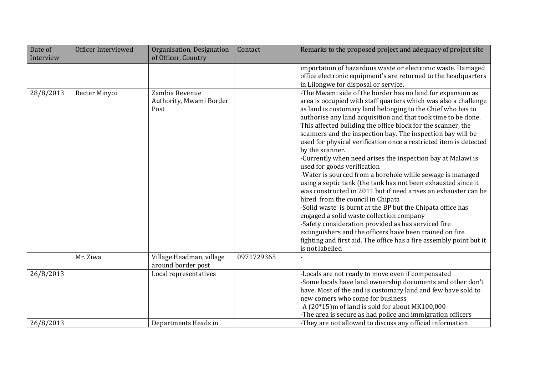| Date of   | Officer Interviewed | Organisation, Designation                         | Contact    | Remarks to the proposed project and adequacy of project site                                                                                                                                                                                                                                                                                                                                                                                                                                                                                                                                                                                                                                                                                                                                                                                                                                                                                                                                                                                                                                                                                   |
|-----------|---------------------|---------------------------------------------------|------------|------------------------------------------------------------------------------------------------------------------------------------------------------------------------------------------------------------------------------------------------------------------------------------------------------------------------------------------------------------------------------------------------------------------------------------------------------------------------------------------------------------------------------------------------------------------------------------------------------------------------------------------------------------------------------------------------------------------------------------------------------------------------------------------------------------------------------------------------------------------------------------------------------------------------------------------------------------------------------------------------------------------------------------------------------------------------------------------------------------------------------------------------|
| Interview |                     | of Officer, Country                               |            |                                                                                                                                                                                                                                                                                                                                                                                                                                                                                                                                                                                                                                                                                                                                                                                                                                                                                                                                                                                                                                                                                                                                                |
|           |                     |                                                   |            | importation of hazardous waste or electronic waste. Damaged<br>office electronic equipment's are returned to the headquarters<br>in Lilongwe for disposal or service.                                                                                                                                                                                                                                                                                                                                                                                                                                                                                                                                                                                                                                                                                                                                                                                                                                                                                                                                                                          |
| 28/8/2013 | Recter Minyoi       | Zambia Revenue<br>Authority, Mwami Border<br>Post |            | -The Mwami side of the border has no land for expansion as<br>area is occupied with staff quarters which was also a challenge<br>as land is customary land belonging to the Chief who has to<br>authorise any land acquisition and that took time to be done.<br>This affected building the office block for the scanner, the<br>scanners and the inspection bay. The inspection bay will be<br>used for physical verification once a restricted item is detected<br>by the scanner.<br>-Currently when need arises the inspection bay at Malawi is<br>used for goods verification<br>-Water is sourced from a borehole while sewage is managed<br>using a septic tank (the tank has not been exhausted since it<br>was constructed in 2011 but if need arises an exhauster can be<br>hired from the council in Chipata<br>-Solid waste is burnt at the BP but the Chipata office has<br>engaged a solid waste collection company<br>-Safety consideration provided as has serviced fire<br>extinguishers and the officers have been trained on fire<br>fighting and first aid. The office has a fire assembly point but it<br>is not labelled |
|           | Mr. Ziwa            | Village Headman, village<br>around border post    | 0971729365 |                                                                                                                                                                                                                                                                                                                                                                                                                                                                                                                                                                                                                                                                                                                                                                                                                                                                                                                                                                                                                                                                                                                                                |
| 26/8/2013 |                     | Local representatives                             |            | -Locals are not ready to move even if compensated<br>-Some locals have land ownership documents and other don't<br>have. Most of the and is customary land and few have sold to<br>new comers who come for business<br>-A (20*15)m of land is sold for about MK100,000<br>-The area is secure as had police and immigration officers                                                                                                                                                                                                                                                                                                                                                                                                                                                                                                                                                                                                                                                                                                                                                                                                           |
| 26/8/2013 |                     | Departments Heads in                              |            | -They are not allowed to discuss any official information                                                                                                                                                                                                                                                                                                                                                                                                                                                                                                                                                                                                                                                                                                                                                                                                                                                                                                                                                                                                                                                                                      |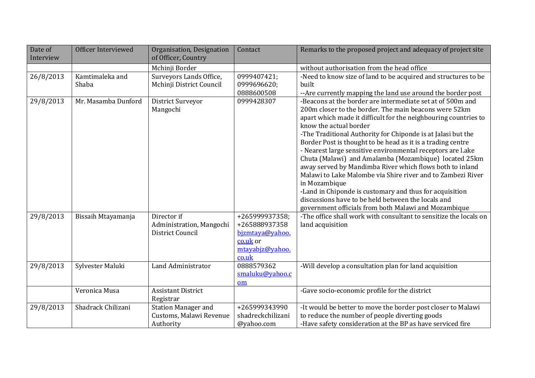| Date of<br>Interview | Officer Interviewed      | Organisation, Designation<br>of Officer, Country                   | Contact                                                                                    | Remarks to the proposed project and adequacy of project site                                                                                                                                                                                                                                                                                                                                                                                                                                                                                                                                                                                                                                                                                                                                 |
|----------------------|--------------------------|--------------------------------------------------------------------|--------------------------------------------------------------------------------------------|----------------------------------------------------------------------------------------------------------------------------------------------------------------------------------------------------------------------------------------------------------------------------------------------------------------------------------------------------------------------------------------------------------------------------------------------------------------------------------------------------------------------------------------------------------------------------------------------------------------------------------------------------------------------------------------------------------------------------------------------------------------------------------------------|
|                      |                          | Mchinji Border                                                     |                                                                                            | without authorisation from the head office                                                                                                                                                                                                                                                                                                                                                                                                                                                                                                                                                                                                                                                                                                                                                   |
| 26/8/2013            | Kamtimaleka and<br>Shaba | Surveyors Lands Office,<br>Mchinji District Council                | 0999407421;<br>0999696620;<br>0888600508                                                   | -Need to know size of land to be acquired and structures to be<br>built<br>--Are currently mapping the land use around the border post                                                                                                                                                                                                                                                                                                                                                                                                                                                                                                                                                                                                                                                       |
| 29/8/2013            | Mr. Masamba Dunford      | District Surveyor<br>Mangochi                                      | 0999428307                                                                                 | -Beacons at the border are intermediate set at of 500m and<br>200m closer to the border. The main beacons were 52km<br>apart which made it difficult for the neighbouring countries to<br>know the actual border<br>-The Traditional Authority for Chiponde is at Jalasi but the<br>Border Post is thought to be head as it is a trading centre<br>- Nearest large sensitive environmental receptors are l.ake<br>Chuta (Malawi) and Amalamba (Mozambique) located 25km<br>away served by Mandimba River which flows both to inland<br>Malawi to Lake Malombe via Shire river and to Zambezi River<br>in Mozambique<br>-Land in Chiponde is customary and thus for acquisition<br>discussions have to be held between the locals and<br>government officials from both Malawi and Mozambique |
| 29/8/2013            | Bissaih Mtayamanja       | Director if<br>Administration, Mangochi<br>District Council        | +265999937358;<br>+265888937358<br>bjzmtaya@yahoo.<br>co.uk or<br>mtayabjz@yahoo.<br>co.uk | -The office shall work with consultant to sensitize the locals on<br>land acquisition                                                                                                                                                                                                                                                                                                                                                                                                                                                                                                                                                                                                                                                                                                        |
| 29/8/2013            | Sylvester Maluki         | Land Administrator                                                 | 0888579362<br>smaluku@yahoo.c<br>om                                                        | -Will develop a consultation plan for land acquisition                                                                                                                                                                                                                                                                                                                                                                                                                                                                                                                                                                                                                                                                                                                                       |
|                      | Veronica Musa            | <b>Assistant District</b><br>Registrar                             |                                                                                            | -Gave socio-economic profile for the district                                                                                                                                                                                                                                                                                                                                                                                                                                                                                                                                                                                                                                                                                                                                                |
| 29/8/2013            | Shadrack Chilizani       | <b>Station Manager and</b><br>Customs, Malawi Revenue<br>Authority | +265999343990<br>shadreckchilizani<br>@yahoo.com                                           | -It would be better to move the border post closer to Malawi<br>to reduce the number of people diverting goods<br>-Have safety consideration at the BP as have serviced fire                                                                                                                                                                                                                                                                                                                                                                                                                                                                                                                                                                                                                 |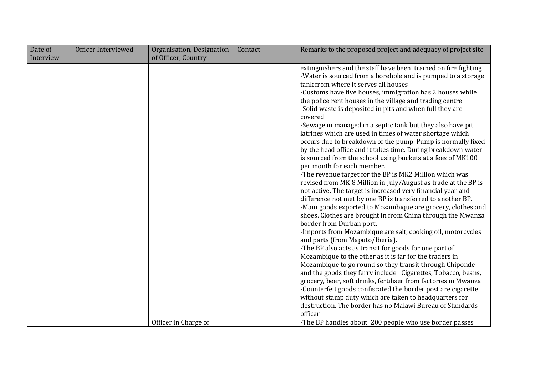| Date of   | Officer Interviewed | Organisation, Designation | Contact | Remarks to the proposed project and adequacy of project site                                                                                                                                                                                                                                                                                                                                                                                                                                                                                                                                                                                                                                                                                                                                                                                                                                                                                                                                                                                                                                                                                                                                                                                                                                                                                                                                                                                                                                                                                                                                                                                                                                                                                                                                                                      |
|-----------|---------------------|---------------------------|---------|-----------------------------------------------------------------------------------------------------------------------------------------------------------------------------------------------------------------------------------------------------------------------------------------------------------------------------------------------------------------------------------------------------------------------------------------------------------------------------------------------------------------------------------------------------------------------------------------------------------------------------------------------------------------------------------------------------------------------------------------------------------------------------------------------------------------------------------------------------------------------------------------------------------------------------------------------------------------------------------------------------------------------------------------------------------------------------------------------------------------------------------------------------------------------------------------------------------------------------------------------------------------------------------------------------------------------------------------------------------------------------------------------------------------------------------------------------------------------------------------------------------------------------------------------------------------------------------------------------------------------------------------------------------------------------------------------------------------------------------------------------------------------------------------------------------------------------------|
| Interview |                     | of Officer, Country       |         |                                                                                                                                                                                                                                                                                                                                                                                                                                                                                                                                                                                                                                                                                                                                                                                                                                                                                                                                                                                                                                                                                                                                                                                                                                                                                                                                                                                                                                                                                                                                                                                                                                                                                                                                                                                                                                   |
|           |                     | Officer in Charge of      |         | extinguishers and the staff have been trained on fire fighting<br>-Water is sourced from a borehole and is pumped to a storage<br>tank from where it serves all houses<br>-Customs have five houses, immigration has 2 houses while<br>the police rent houses in the village and trading centre<br>-Solid waste is deposited in pits and when full they are<br>covered<br>-Sewage in managed in a septic tank but they also have pit<br>latrines which are used in times of water shortage which<br>occurs due to breakdown of the pump. Pump is normally fixed<br>by the head office and it takes time. During breakdown water<br>is sourced from the school using buckets at a fees of MK100<br>per month for each member.<br>-The revenue target for the BP is MK2 Million which was<br>revised from MK 8 Million in July/August as trade at the BP is<br>not active. The target is increased very financial year and<br>difference not met by one BP is transferred to another BP.<br>-Main goods exported to Mozambique are grocery, clothes and<br>shoes. Clothes are brought in from China through the Mwanza<br>border from Durban port.<br>-Imports from Mozambique are salt, cooking oil, motorcycles<br>and parts (from Maputo/Iberia).<br>-The BP also acts as transit for goods for one part of<br>Mozambique to the other as it is far for the traders in<br>Mozambique to go round so they transit through Chiponde<br>and the goods they ferry include Cigarettes, Tobacco, beans,<br>grocery, beer, soft drinks, fertiliser from factories in Mwanza<br>-Counterfeit goods confiscated the border post are cigarette<br>without stamp duty which are taken to headquarters for<br>destruction. The border has no Malawi Bureau of Standards<br>officer<br>-The BP handles about 200 people who use border passes |
|           |                     |                           |         |                                                                                                                                                                                                                                                                                                                                                                                                                                                                                                                                                                                                                                                                                                                                                                                                                                                                                                                                                                                                                                                                                                                                                                                                                                                                                                                                                                                                                                                                                                                                                                                                                                                                                                                                                                                                                                   |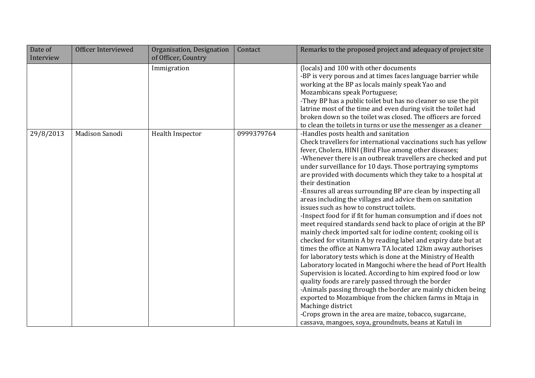| Date of<br>Interview | Officer Interviewed | Organisation, Designation<br>of Officer, Country | Contact    | Remarks to the proposed project and adequacy of project site                                                                                                                                                                                                                                                                                                                                                                                                                                                                                                                                                                                                                                                                                                                                                                                                                                                                                                                                                                                                                                                                                                                                                                                                                                                                                                                                                                    |
|----------------------|---------------------|--------------------------------------------------|------------|---------------------------------------------------------------------------------------------------------------------------------------------------------------------------------------------------------------------------------------------------------------------------------------------------------------------------------------------------------------------------------------------------------------------------------------------------------------------------------------------------------------------------------------------------------------------------------------------------------------------------------------------------------------------------------------------------------------------------------------------------------------------------------------------------------------------------------------------------------------------------------------------------------------------------------------------------------------------------------------------------------------------------------------------------------------------------------------------------------------------------------------------------------------------------------------------------------------------------------------------------------------------------------------------------------------------------------------------------------------------------------------------------------------------------------|
|                      |                     | Immigration                                      |            | (locals) and 100 with other documents<br>-BP is very porous and at times faces language barrier while<br>working at the BP as locals mainly speak Yao and<br>Mozambicans speak Portuguese;<br>-They BP has a public toilet but has no cleaner so use the pit<br>latrine most of the time and even during visit the toilet had<br>broken down so the toilet was closed. The officers are forced<br>to clean the toilets in turns or use the messenger as a cleaner                                                                                                                                                                                                                                                                                                                                                                                                                                                                                                                                                                                                                                                                                                                                                                                                                                                                                                                                                               |
| 29/8/2013            | Madison Sanodi      | Health Inspector                                 | 0999379764 | -Handles posts health and sanitation<br>Check travellers for international vaccinations such has yellow<br>fever, Cholera, HINI (Bird Flue among other diseases;<br>-Whenever there is an outbreak travellers are checked and put<br>under surveillance for 10 days. Those portraying symptoms<br>are provided with documents which they take to a hospital at<br>their destination<br>-Ensures all areas surrounding BP are clean by inspecting all<br>areas including the villages and advice them on sanitation<br>issues such as how to construct toilets.<br>-Inspect food for if fit for human consumption and if does not<br>meet required standards send back to place of origin at the BP<br>mainly check imported salt for iodine content; cooking oil is<br>checked for vitamin A by reading label and expiry date but at<br>times the office at Namwra TA located 12km away authorises<br>for laboratory tests which is done at the Ministry of Health<br>Laboratory located in Mangochi where the head of Port Health<br>Supervision is located. According to him expired food or low<br>quality foods are rarely passed through the border<br>-Animals passing through the border are mainly chicken being<br>exported to Mozambique from the chicken farms in Mtaja in<br>Machinge district<br>-Crops grown in the area are maize, tobacco, sugarcane,<br>cassava, mangoes, soya, groundnuts, beans at Katuli in |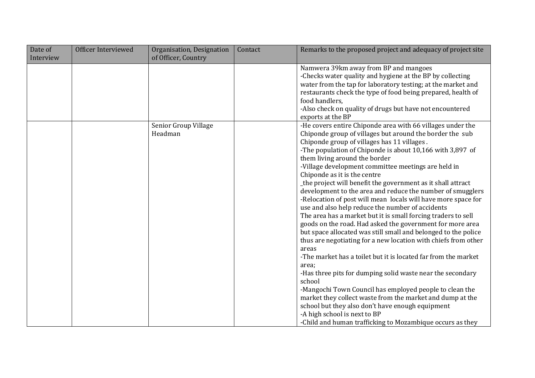| Date of   | Officer Interviewed | Organisation, Designation       | Contact | Remarks to the proposed project and adequacy of project site                                                                                                                                                                                                                                                                                                                                                                                                                                                                                                                                                                                                                                                                                                                                                                                                                                                                                                                                                                                                                                                                                                                                                                                                                                                        |
|-----------|---------------------|---------------------------------|---------|---------------------------------------------------------------------------------------------------------------------------------------------------------------------------------------------------------------------------------------------------------------------------------------------------------------------------------------------------------------------------------------------------------------------------------------------------------------------------------------------------------------------------------------------------------------------------------------------------------------------------------------------------------------------------------------------------------------------------------------------------------------------------------------------------------------------------------------------------------------------------------------------------------------------------------------------------------------------------------------------------------------------------------------------------------------------------------------------------------------------------------------------------------------------------------------------------------------------------------------------------------------------------------------------------------------------|
| Interview |                     | of Officer, Country             |         |                                                                                                                                                                                                                                                                                                                                                                                                                                                                                                                                                                                                                                                                                                                                                                                                                                                                                                                                                                                                                                                                                                                                                                                                                                                                                                                     |
|           |                     |                                 |         | Namwera 39km away from BP and mangoes<br>-Checks water quality and hygiene at the BP by collecting<br>water from the tap for laboratory testing; at the market and<br>restaurants check the type of food being prepared, health of<br>food handlers,<br>-Also check on quality of drugs but have not encountered<br>exports at the BP                                                                                                                                                                                                                                                                                                                                                                                                                                                                                                                                                                                                                                                                                                                                                                                                                                                                                                                                                                               |
|           |                     | Senior Group Village<br>Headman |         | -He covers entire Chiponde area with 66 villages under the<br>Chiponde group of villages but around the border the sub<br>Chiponde group of villages has 11 villages.<br>-The population of Chiponde is about 10,166 with 3,897 of<br>them living around the border<br>-Village development committee meetings are held in<br>Chiponde as it is the centre<br>the project will benefit the government as it shall attract<br>development to the area and reduce the number of smugglers<br>-Relocation of post will mean locals will have more space for<br>use and also help reduce the number of accidents<br>The area has a market but it is small forcing traders to sell<br>goods on the road. Had asked the government for more area<br>but space allocated was still small and belonged to the police<br>thus are negotiating for a new location with chiefs from other<br>areas<br>-The market has a toilet but it is located far from the market<br>area;<br>-Has three pits for dumping solid waste near the secondary<br>school<br>-Mangochi Town Council has employed people to clean the<br>market they collect waste from the market and dump at the<br>school but they also don't have enough equipment<br>-A high school is next to BP<br>-Child and human trafficking to Mozambique occurs as they |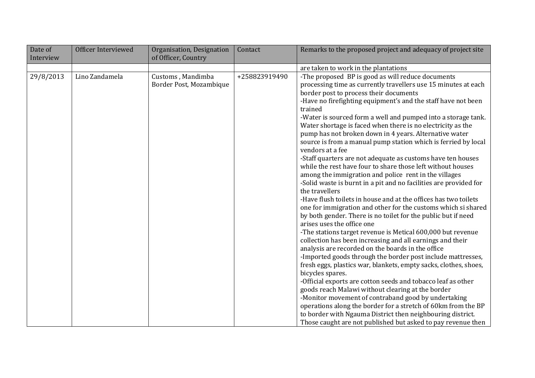| Date of   | Officer Interviewed | Organisation, Designation                    | Contact       | Remarks to the proposed project and adequacy of project site                                                                                                                                                                                                                                                                                                                                                                                                                                                                                                                                                                                                                                                                                                                                                                                                                                                                                                                                                                                                                                                                                                                                                                                                                                                                                                                                                                                                                                                                                                                                                                                                                                  |
|-----------|---------------------|----------------------------------------------|---------------|-----------------------------------------------------------------------------------------------------------------------------------------------------------------------------------------------------------------------------------------------------------------------------------------------------------------------------------------------------------------------------------------------------------------------------------------------------------------------------------------------------------------------------------------------------------------------------------------------------------------------------------------------------------------------------------------------------------------------------------------------------------------------------------------------------------------------------------------------------------------------------------------------------------------------------------------------------------------------------------------------------------------------------------------------------------------------------------------------------------------------------------------------------------------------------------------------------------------------------------------------------------------------------------------------------------------------------------------------------------------------------------------------------------------------------------------------------------------------------------------------------------------------------------------------------------------------------------------------------------------------------------------------------------------------------------------------|
| Interview |                     | of Officer, Country                          |               |                                                                                                                                                                                                                                                                                                                                                                                                                                                                                                                                                                                                                                                                                                                                                                                                                                                                                                                                                                                                                                                                                                                                                                                                                                                                                                                                                                                                                                                                                                                                                                                                                                                                                               |
|           |                     |                                              |               | are taken to work in the plantations                                                                                                                                                                                                                                                                                                                                                                                                                                                                                                                                                                                                                                                                                                                                                                                                                                                                                                                                                                                                                                                                                                                                                                                                                                                                                                                                                                                                                                                                                                                                                                                                                                                          |
| 29/8/2013 | Lino Zandamela      | Customs, Mandimba<br>Border Post, Mozambique | +258823919490 | -The proposed BP is good as will reduce documents<br>processing time as currently travellers use 15 minutes at each<br>border post to process their documents<br>-Have no firefighting equipment's and the staff have not been<br>trained<br>-Water is sourced form a well and pumped into a storage tank.<br>Water shortage is faced when there is no electricity as the<br>pump has not broken down in 4 years. Alternative water<br>source is from a manual pump station which is ferried by local<br>vendors at a fee<br>-Staff quarters are not adequate as customs have ten houses<br>while the rest have four to share those left without houses<br>among the immigration and police rent in the villages<br>-Solid waste is burnt in a pit and no facilities are provided for<br>the travellers<br>-Have flush toilets in house and at the offices has two toilets<br>one for immigration and other for the customs which si shared<br>by both gender. There is no toilet for the public but if need<br>arises uses the office one<br>-The stations target revenue is Metical 600,000 but revenue<br>collection has been increasing and all earnings and their<br>analysis are recorded on the boards in the office<br>-Imported goods through the border post include mattresses,<br>fresh eggs, plastics war, blankets, empty sacks, clothes, shoes,<br>bicycles spares.<br>-Official exports are cotton seeds and tobacco leaf as other<br>goods reach Malawi without clearing at the border<br>-Monitor movement of contraband good by undertaking<br>operations along the border for a stretch of 60km from the BP<br>to border with Ngauma District then neighbouring district. |
|           |                     |                                              |               | Those caught are not published but asked to pay revenue then                                                                                                                                                                                                                                                                                                                                                                                                                                                                                                                                                                                                                                                                                                                                                                                                                                                                                                                                                                                                                                                                                                                                                                                                                                                                                                                                                                                                                                                                                                                                                                                                                                  |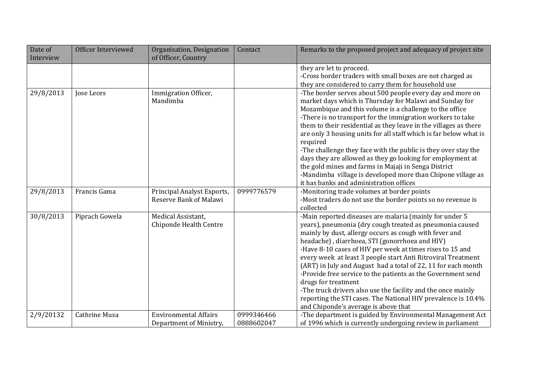| Date of   | Officer Interviewed | Organisation, Designation    | Contact    | Remarks to the proposed project and adequacy of project site                                           |
|-----------|---------------------|------------------------------|------------|--------------------------------------------------------------------------------------------------------|
| Interview |                     | of Officer, Country          |            |                                                                                                        |
|           |                     |                              |            | they are let to proceed.                                                                               |
|           |                     |                              |            | -Cross border traders with small boxes are not charged as                                              |
|           |                     |                              |            | they are considered to carry them for household use                                                    |
| 29/8/2013 | Jose Leces          | Immigration Officer,         |            | -The border serves about 500 people every day and more on                                              |
|           |                     | Mandimba                     |            | market days which is Thursday for Malawi and Sunday for                                                |
|           |                     |                              |            | Mozambique and this volume is a challenge to the office                                                |
|           |                     |                              |            | -There is no transport for the immigration workers to take                                             |
|           |                     |                              |            | them to their residential as they leave in the villages as there                                       |
|           |                     |                              |            | are only 3 housing units for all staff which is far below what is                                      |
|           |                     |                              |            | required                                                                                               |
|           |                     |                              |            | -The challenge they face with the public is they over stay the                                         |
|           |                     |                              |            | days they are allowed as they go looking for employment at                                             |
|           |                     |                              |            | the gold mines and farms in Majaji in Senga District                                                   |
|           |                     |                              |            | -Mandimba village is developed more than Chipone village as<br>it has banks and administration offices |
| 29/8/2013 | Francis Gama        | Principal Analyst Exports,   | 0999776579 | -Monitoring trade volumes at border points                                                             |
|           |                     | Reserve Bank of Malawi       |            | -Most traders do not use the border points so no revenue is                                            |
|           |                     |                              |            | collected                                                                                              |
| 30/8/2013 | Piprach Gowela      | Medical Assistant.           |            | -Main reported diseases are malaria (mainly for under 5                                                |
|           |                     | Chiponde Health Centre       |            | years), pneumonia (dry cough treated as pneumonia caused                                               |
|           |                     |                              |            | mainly by dust, allergy occurs as cough with fever and                                                 |
|           |                     |                              |            | headache), diarrhoea, STI (gonorrhoea and HIV)                                                         |
|           |                     |                              |            | -Have 8-10 cases of HIV per week at times rises to 15 and                                              |
|           |                     |                              |            | every week at least 3 people start Anti Ritroviral Treatment                                           |
|           |                     |                              |            | (ART) in July and August had a total of 22, 11 for each month                                          |
|           |                     |                              |            | -Provide free service to the patients as the Government send                                           |
|           |                     |                              |            | drugs for treatment                                                                                    |
|           |                     |                              |            | -The truck drivers also use the facility and the once mainly                                           |
|           |                     |                              |            | reporting the STI cases. The National HIV prevalence is 10.4%                                          |
|           | Cathrine Musa       | <b>Environmental Affairs</b> | 0999346466 | and Chiponde's average is above that                                                                   |
| 2/9/20132 |                     |                              | 0888602047 | -The department is guided by Environmental Management Act                                              |
|           |                     | Department of Ministry,      |            | of 1996 which is currently undergoing review in parliament                                             |